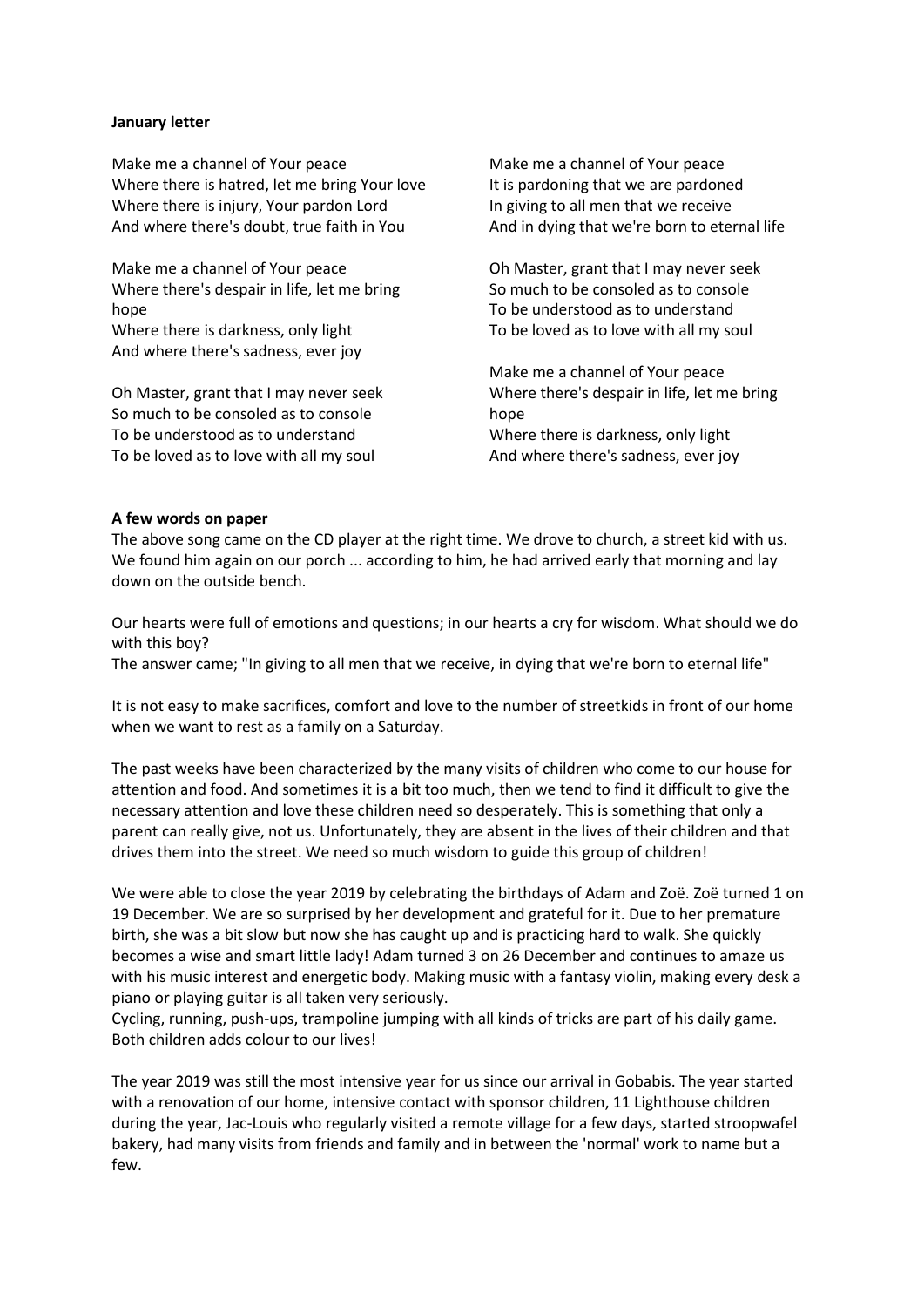#### **January letter**

Make me a channel of Your peace Where there is hatred, let me bring Your love Where there is injury, Your pardon Lord And where there's doubt, true faith in You

Make me a channel of Your peace Where there's despair in life, let me bring hope

Where there is darkness, only light And where there's sadness, ever joy

Oh Master, grant that I may never seek So much to be consoled as to console To be understood as to understand To be loved as to love with all my soul

Make me a channel of Your peace It is pardoning that we are pardoned In giving to all men that we receive And in dying that we're born to eternal life

Oh Master, grant that I may never seek So much to be consoled as to console To be understood as to understand To be loved as to love with all my soul

Make me a channel of Your peace Where there's despair in life, let me bring hope Where there is darkness, only light And where there's sadness, ever joy

#### **A few words on paper**

The above song came on the CD player at the right time. We drove to church, a street kid with us. We found him again on our porch ... according to him, he had arrived early that morning and lay down on the outside bench.

Our hearts were full of emotions and questions; in our hearts a cry for wisdom. What should we do with this boy?

The answer came; "In giving to all men that we receive, in dying that we're born to eternal life"

It is not easy to make sacrifices, comfort and love to the number of streetkids in front of our home when we want to rest as a family on a Saturday.

The past weeks have been characterized by the many visits of children who come to our house for attention and food. And sometimes it is a bit too much, then we tend to find it difficult to give the necessary attention and love these children need so desperately. This is something that only a parent can really give, not us. Unfortunately, they are absent in the lives of their children and that drives them into the street. We need so much wisdom to guide this group of children!

We were able to close the year 2019 by celebrating the birthdays of Adam and Zoë. Zoë turned 1 on 19 December. We are so surprised by her development and grateful for it. Due to her premature birth, she was a bit slow but now she has caught up and is practicing hard to walk. She quickly becomes a wise and smart little lady! Adam turned 3 on 26 December and continues to amaze us with his music interest and energetic body. Making music with a fantasy violin, making every desk a piano or playing guitar is all taken very seriously.

Cycling, running, push-ups, trampoline jumping with all kinds of tricks are part of his daily game. Both children adds colour to our lives!

The year 2019 was still the most intensive year for us since our arrival in Gobabis. The year started with a renovation of our home, intensive contact with sponsor children, 11 Lighthouse children during the year, Jac-Louis who regularly visited a remote village for a few days, started stroopwafel bakery, had many visits from friends and family and in between the 'normal' work to name but a few.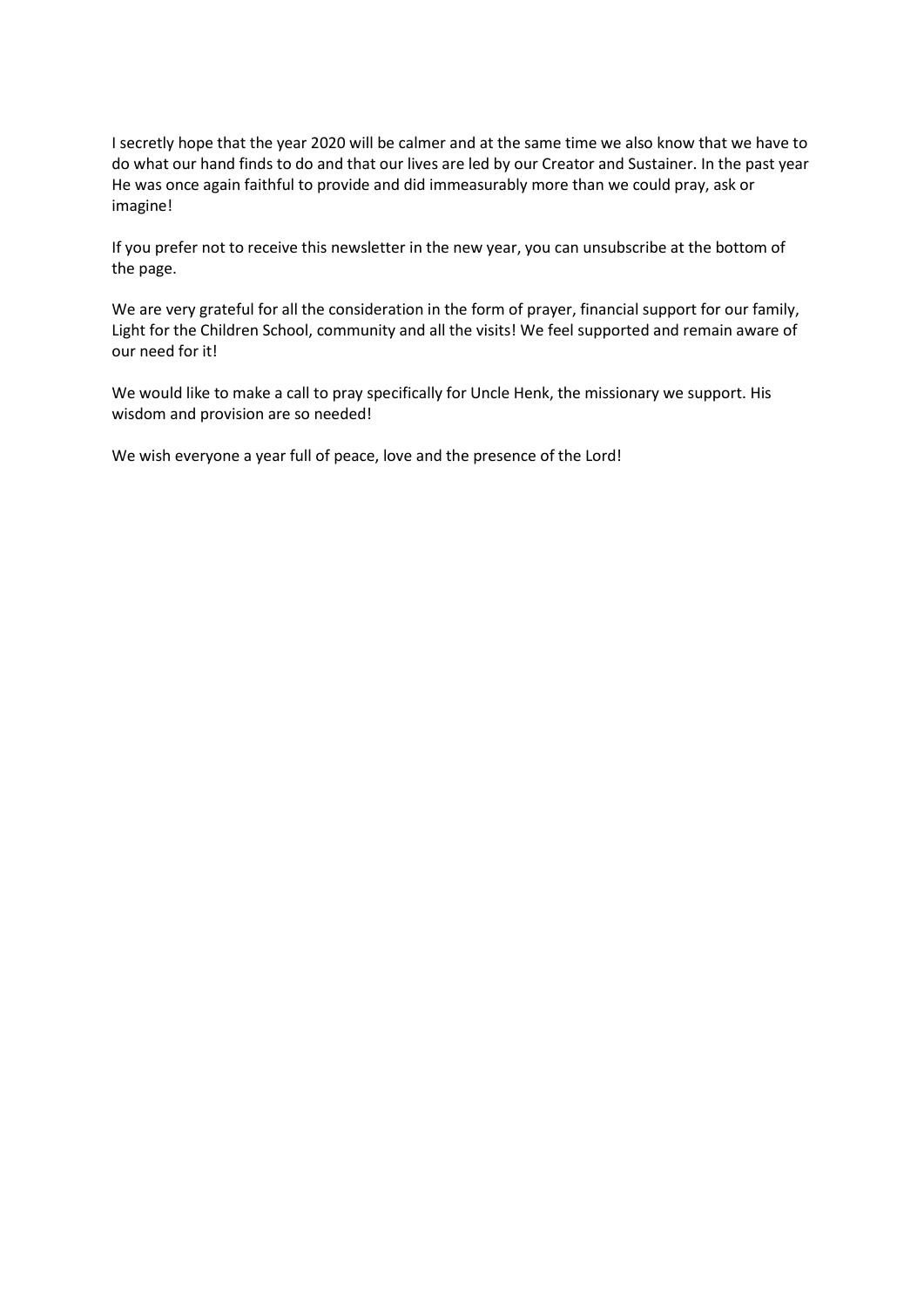I secretly hope that the year 2020 will be calmer and at the same time we also know that we have to do what our hand finds to do and that our lives are led by our Creator and Sustainer. In the past year He was once again faithful to provide and did immeasurably more than we could pray, ask or imagine!

If you prefer not to receive this newsletter in the new year, you can unsubscribe at the bottom of the page.

We are very grateful for all the consideration in the form of prayer, financial support for our family, Light for the Children School, community and all the visits! We feel supported and remain aware of our need for it!

We would like to make a call to pray specifically for Uncle Henk, the missionary we support. His wisdom and provision are so needed!

We wish everyone a year full of peace, love and the presence of the Lord!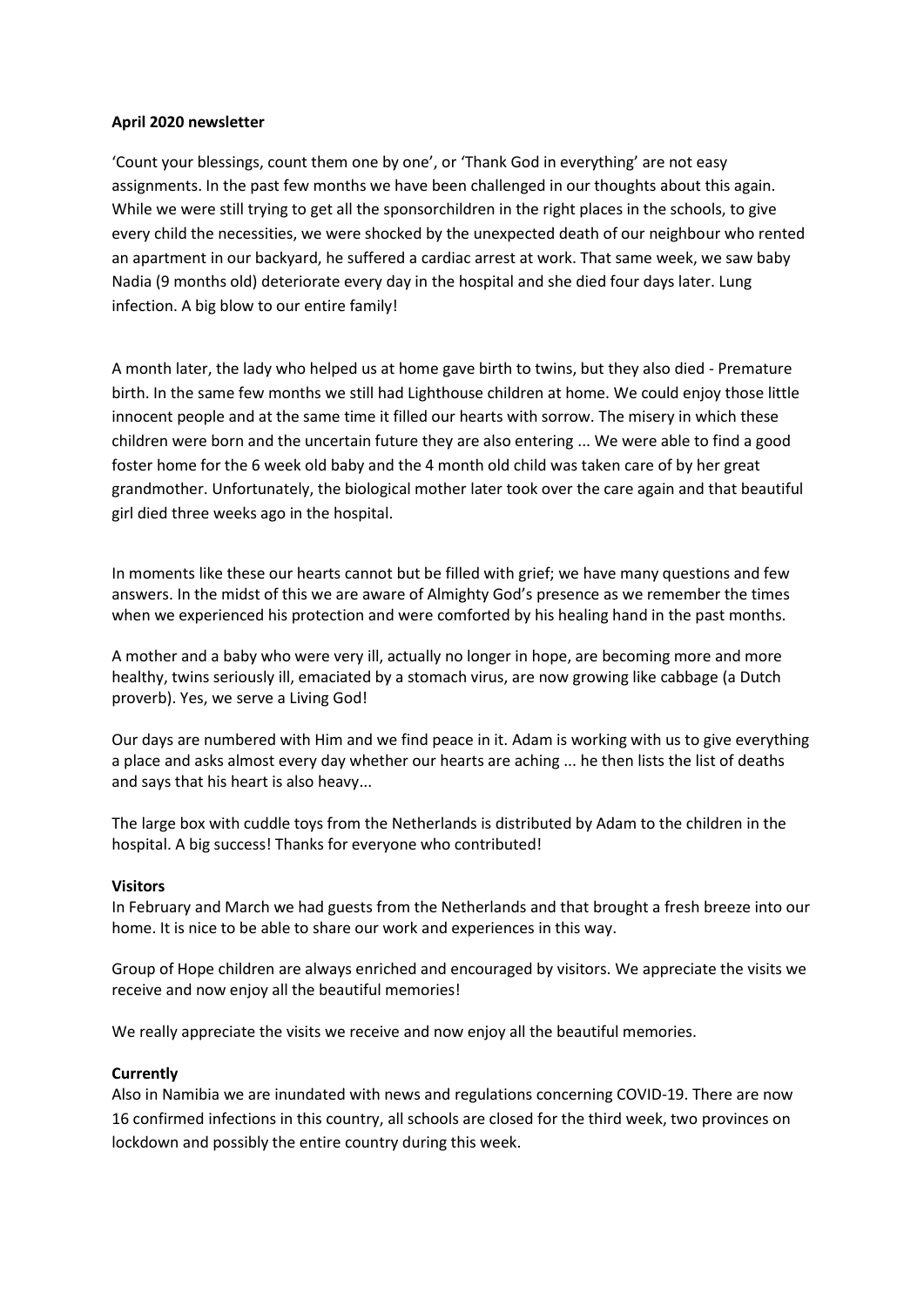### **April 2020 newsletter**

'Count your blessings, count them one by one', or 'Thank God in everything' are not easy assignments. In the past few months we have been challenged in our thoughts about this again. While we were still trying to get all the sponsorchildren in the right places in the schools, to give every child the necessities, we were shocked by the unexpected death of our neighbour who rented an apartment in our backyard, he suffered a cardiac arrest at work. That same week, we saw baby Nadia (9 months old) deteriorate every day in the hospital and she died four days later. Lung infection. A big blow to our entire family!

A month later, the lady who helped us at home gave birth to twins, but they also died - Premature birth. In the same few months we still had Lighthouse children at home. We could enjoy those little innocent people and at the same time it filled our hearts with sorrow. The misery in which these children were born and the uncertain future they are also entering ... We were able to find a good foster home for the 6 week old baby and the 4 month old child was taken care of by her great grandmother. Unfortunately, the biological mother later took over the care again and that beautiful girl died three weeks ago in the hospital.

In moments like these our hearts cannot but be filled with grief; we have many questions and few answers. In the midst of this we are aware of Almighty God's presence as we remember the times when we experienced his protection and were comforted by his healing hand in the past months.

A mother and a baby who were very ill, actually no longer in hope, are becoming more and more healthy, twins seriously ill, emaciated by a stomach virus, are now growing like cabbage (a Dutch proverb). Yes, we serve a Living God!

Our days are numbered with Him and we find peace in it. Adam is working with us to give everything a place and asks almost every day whether our hearts are aching ... he then lists the list of deaths and says that his heart is also heavy...

The large box with cuddle toys from the Netherlands is distributed by Adam to the children in the hospital. A big success! Thanks for everyone who contributed!

#### **Visitors**

In February and March we had guests from the Netherlands and that brought a fresh breeze into our home. It is nice to be able to share our work and experiences in this way.

Group of Hope children are always enriched and encouraged by visitors. We appreciate the visits we receive and now enjoy all the beautiful memories!

We really appreciate the visits we receive and now enjoy all the beautiful memories.

#### **Currently**

Also in Namibia we are inundated with news and regulations concerning COVID-19. There are now 16 confirmed infections in this country, all schools are closed for the third week, two provinces on lockdown and possibly the entire country during this week.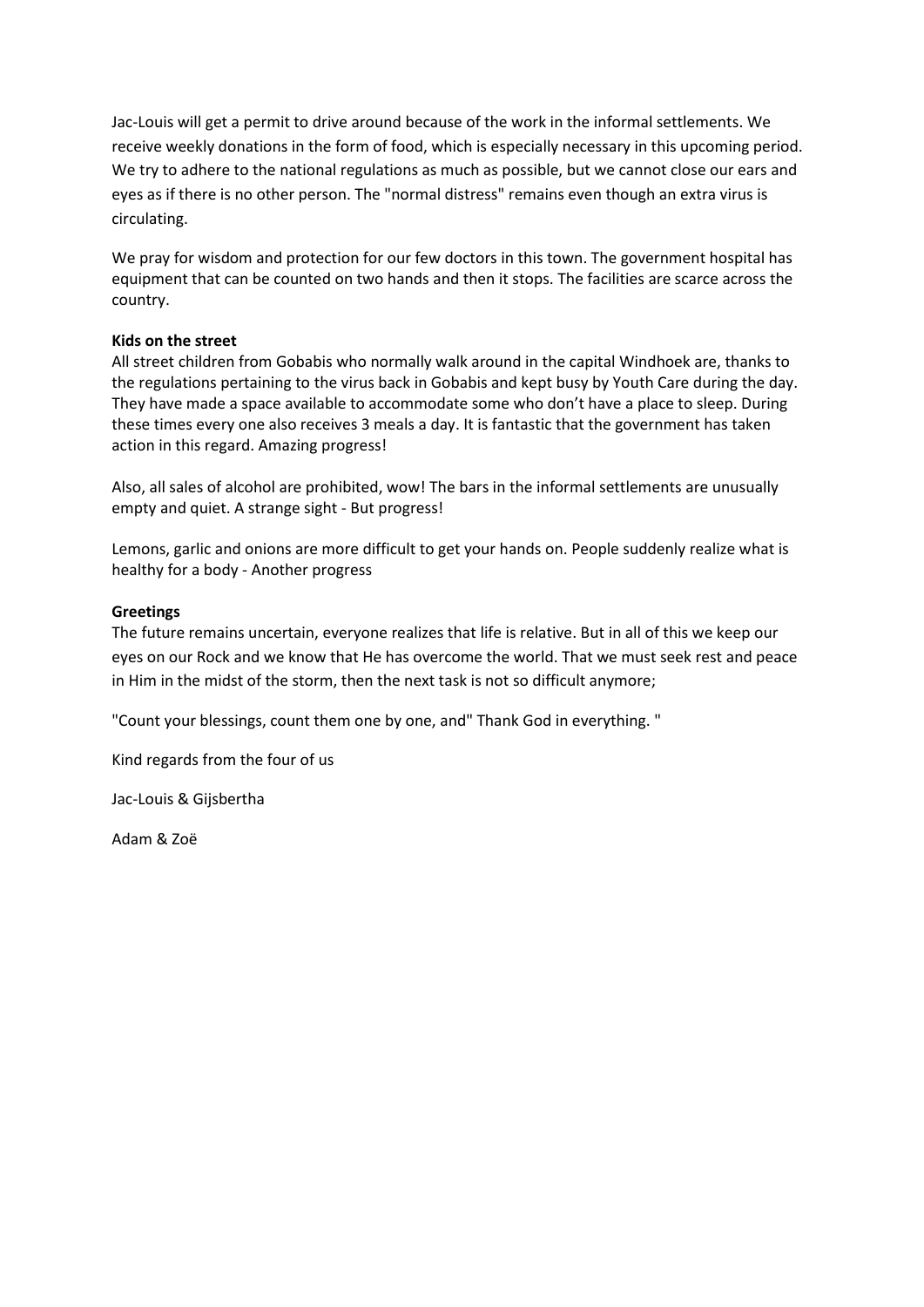Jac-Louis will get a permit to drive around because of the work in the informal settlements. We receive weekly donations in the form of food, which is especially necessary in this upcoming period. We try to adhere to the national regulations as much as possible, but we cannot close our ears and eyes as if there is no other person. The "normal distress" remains even though an extra virus is circulating.

We pray for wisdom and protection for our few doctors in this town. The government hospital has equipment that can be counted on two hands and then it stops. The facilities are scarce across the country.

### **Kids on the street**

All street children from Gobabis who normally walk around in the capital Windhoek are, thanks to the regulations pertaining to the virus back in Gobabis and kept busy by Youth Care during the day. They have made a space available to accommodate some who don't have a place to sleep. During these times every one also receives 3 meals a day. It is fantastic that the government has taken action in this regard. Amazing progress!

Also, all sales of alcohol are prohibited, wow! The bars in the informal settlements are unusually empty and quiet. A strange sight - But progress!

Lemons, garlic and onions are more difficult to get your hands on. People suddenly realize what is healthy for a body - Another progress

## **Greetings**

The future remains uncertain, everyone realizes that life is relative. But in all of this we keep our eyes on our Rock and we know that He has overcome the world. That we must seek rest and peace in Him in the midst of the storm, then the next task is not so difficult anymore;

"Count your blessings, count them one by one, and" Thank God in everything. "

Kind regards from the four of us

Jac-Louis & Gijsbertha

Adam & Zoë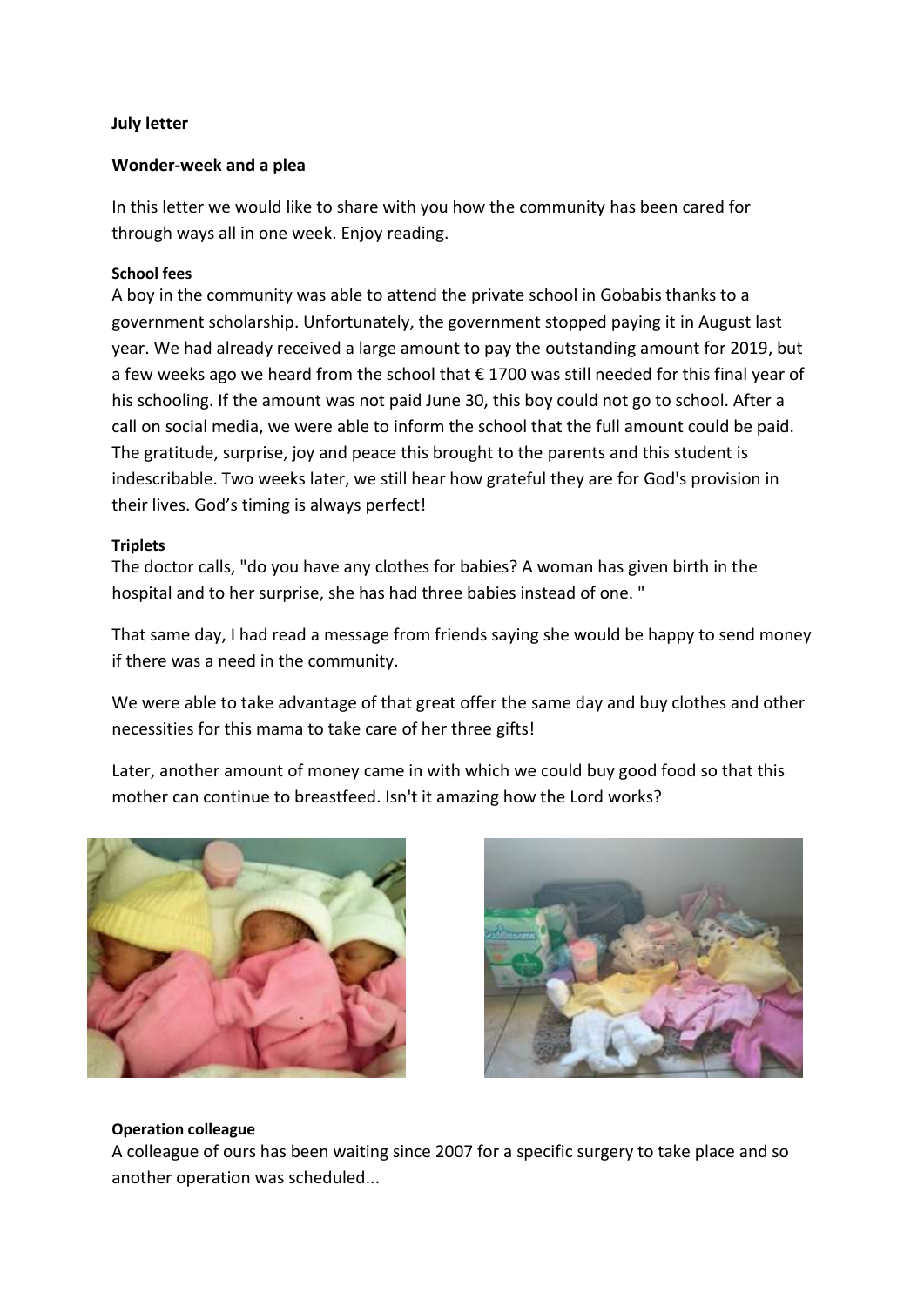# **July letter**

## **Wonder-week and a plea**

In this letter we would like to share with you how the community has been cared for through ways all in one week. Enjoy reading.

# **School fees**

A boy in the community was able to attend the private school in Gobabis thanks to a government scholarship. Unfortunately, the government stopped paying it in August last year. We had already received a large amount to pay the outstanding amount for 2019, but a few weeks ago we heard from the school that € 1700 was still needed for this final year of his schooling. If the amount was not paid June 30, this boy could not go to school. After a call on social media, we were able to inform the school that the full amount could be paid. The gratitude, surprise, joy and peace this brought to the parents and this student is indescribable. Two weeks later, we still hear how grateful they are for God's provision in their lives. God's timing is always perfect!

## **Triplets**

The doctor calls, "do you have any clothes for babies? A woman has given birth in the hospital and to her surprise, she has had three babies instead of one. "

That same day, I had read a message from friends saying she would be happy to send money if there was a need in the community.

We were able to take advantage of that great offer the same day and buy clothes and other necessities for this mama to take care of her three gifts!

Later, another amount of money came in with which we could buy good food so that this mother can continue to breastfeed. Isn't it amazing how the Lord works?





### **Operation colleague**

A colleague of ours has been waiting since 2007 for a specific surgery to take place and so another operation was scheduled...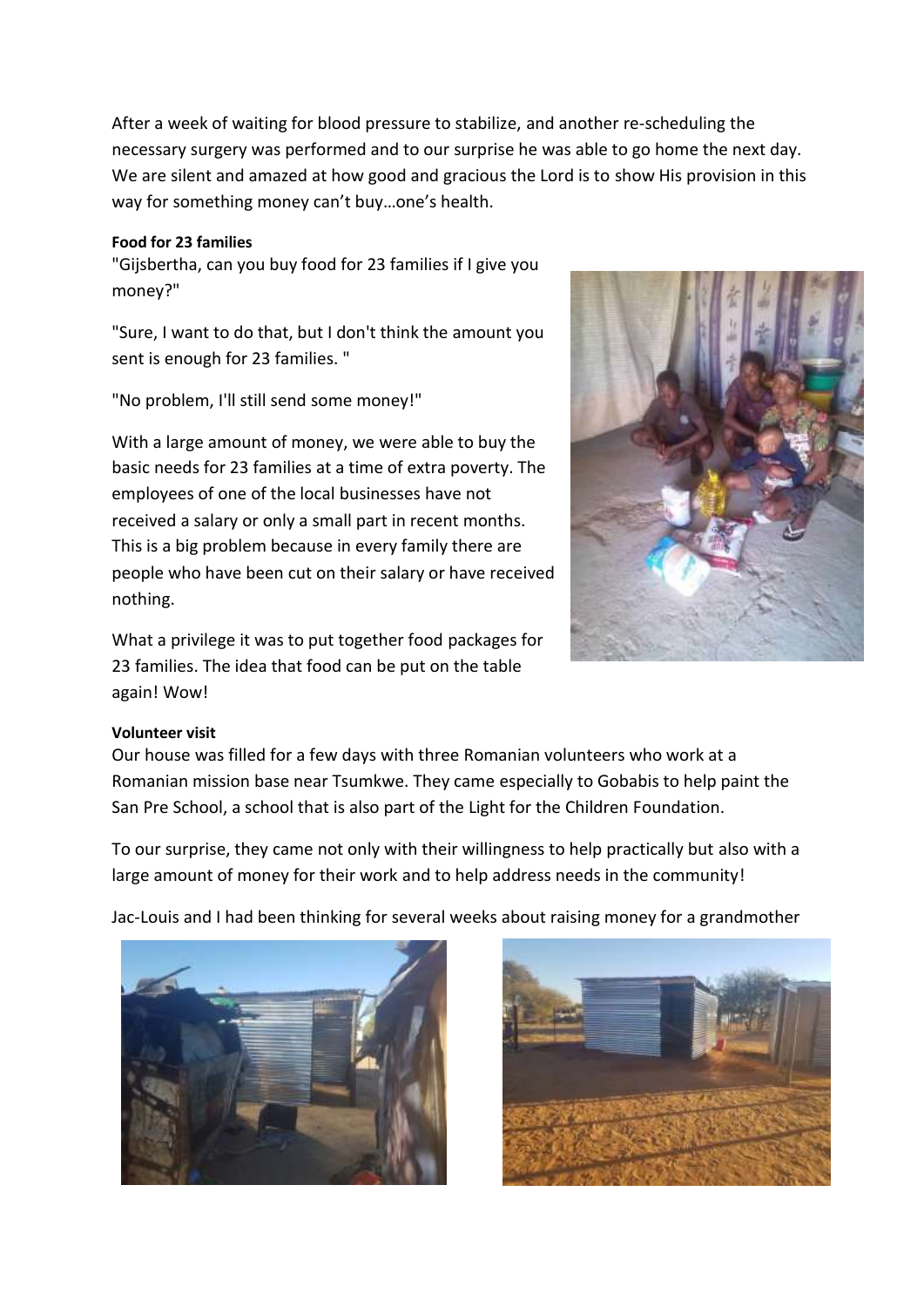After a week of waiting for blood pressure to stabilize, and another re-scheduling the necessary surgery was performed and to our surprise he was able to go home the next day. We are silent and amazed at how good and gracious the Lord is to show His provision in this way for something money can't buy…one's health.

# **Food for 23 families**

"Gijsbertha, can you buy food for 23 families if I give you money?"

"Sure, I want to do that, but I don't think the amount you sent is enough for 23 families. "

"No problem, I'll still send some money!"

With a large amount of money, we were able to buy the basic needs for 23 families at a time of extra poverty. The employees of one of the local businesses have not received a salary or only a small part in recent months. This is a big problem because in every family there are people who have been cut on their salary or have received nothing.

What a privilege it was to put together food packages for 23 families. The idea that food can be put on the table again! Wow!

# **Volunteer visit**

Our house was filled for a few days with three Romanian volunteers who work at a Romanian mission base near Tsumkwe. They came especially to Gobabis to help paint the San Pre School, a school that is also part of the Light for the Children Foundation.

To our surprise, they came not only with their willingness to help practically but also with a large amount of money for their work and to help address needs in the community!

Jac-Louis and I had been thinking for several weeks about raising money for a grandmother